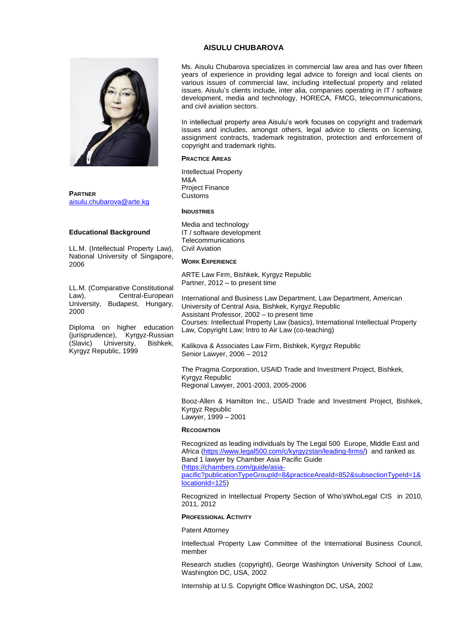# **AISULU CHUBAROVA**



**PARTNER** [aisulu.chubarova@arte.kg](mailto:aisulu.chubarova@arte.kg)

# **Educational Background**

LL.M. (Intellectual Property Law), National University of Singapore, 2006

LL.M. (Comparative Constitutional Law), Central-European University, Budapest, Hungary, 2000

Diploma on higher education (jurisprudence), Kyrgyz-Russian<br>(Slavic) University, Bishkek, University, Bishkek, Kyrgyz Republic, 1999

Ms. Aisulu Chubarova specializes in commercial law area and has over fifteen years of experience in providing legal advice to foreign and local clients on various issues of commercial law, including intellectual property and related issues. Aisulu's clients include, inter alia, companies operating in IT / software development, media and technology, HORECA, FMCG, telecommunications, and civil aviation sectors.

In intellectual property area Aisulu's work focuses on copyright and trademark issues and includes, amongst others, legal advice to clients on licensing, assignment contracts, trademark registration, protection and enforcement of copyright and trademark rights.

### **PRACTICE AREAS**

Intellectual Property M&A Project Finance Customs

# **INDUSTRIES**

Media and technology IT / software development **Telecommunications** Civil Aviation

#### **WORK EXPERIENCE**

ARTE Law Firm, Bishkek, Kyrgyz Republic Partner, 2012 – to present time

International and Business Law Department, Law Department, American University of Central Asia, Bishkek, Kyrgyz Republic Assistant Professor, 2002 – to present time Courses: Intellectual Property Law (basics), International Intellectual Property Law, Copyright Law; Intro to Air Law (co-teaching)

Kalikova & Associates Law Firm, Bishkek, Kyrgyz Republic Senior Lawyer, 2006 – 2012

The Pragma Corporation, USAID Trade and Investment Project, Bishkek, Kyrgyz Republic Regional Lawyer, 2001-2003, 2005-2006

Booz-Allen & Hamilton Inc., USAID Trade and Investment Project, Bishkek, Kyrgyz Republic Lawyer, 1999 – 2001

### **RECOGNITION**

Recognized as leading individuals by The Legal 500 Europe, Middle East and Africa [\(https://www.legal500.com/c/kyrgyzstan/leading-firms/\)](https://www.legal500.com/c/kyrgyzstan/leading-firms/) and ranked as Band 1 lawyer by Chamber Asia Pacific Guide [\(https://chambers.com/guide/asia-](https://chambers.com/guide/asia-pacific?publicationTypeGroupId=8&practiceAreaId=852&subsectionTypeId=1&locationId=125)

[pacific?publicationTypeGroupId=8&practiceAreaId=852&subsectionTypeId=1&](https://chambers.com/guide/asia-pacific?publicationTypeGroupId=8&practiceAreaId=852&subsectionTypeId=1&locationId=125) [locationId=125\)](https://chambers.com/guide/asia-pacific?publicationTypeGroupId=8&practiceAreaId=852&subsectionTypeId=1&locationId=125)

Recognized in Intellectual Property Section of Who'sWhoLegal CIS in 2010, 2011, 2012

# **PROFESSIONAL ACTIVITY**

Patent Attorney

Intellectual Property Law Committee of the International Business Council, member

Research studies (copyright), George Washington University School of Law, Washington DC, USA, 2002

Internship at U.S. Copyright Office Washington DC, USA, 2002